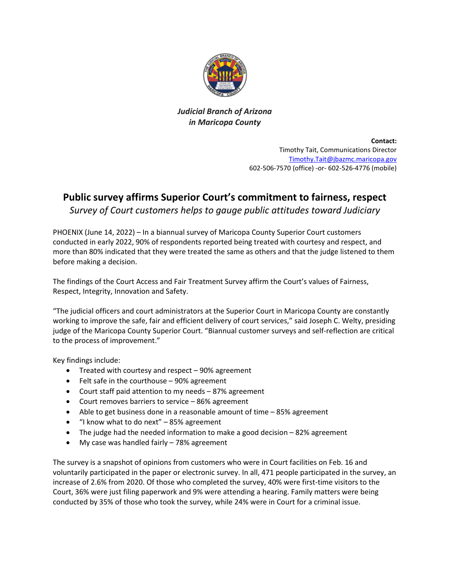

*Judicial Branch of Arizona in Maricopa County*

> **Contact:** Timothy Tait, Communications Director [Timothy.Tait@jbazmc.maricopa.gov](mailto:Timothy.Tait@jbazmc.maricopa.gov) 602-506-7570 (office) -or- 602-526-4776 (mobile)

## **Public survey affirms Superior Court's commitment to fairness, respect**

*Survey of Court customers helps to gauge public attitudes toward Judiciary*

PHOENIX (June 14, 2022) – In a biannual survey of Maricopa County Superior Court customers conducted in early 2022, 90% of respondents reported being treated with courtesy and respect, and more than 80% indicated that they were treated the same as others and that the judge listened to them before making a decision.

The findings of the Court Access and Fair Treatment Survey affirm the Court's values of Fairness, Respect, Integrity, Innovation and Safety.

"The judicial officers and court administrators at the Superior Court in Maricopa County are constantly working to improve the safe, fair and efficient delivery of court services," said Joseph C. Welty, presiding judge of the Maricopa County Superior Court. "Biannual customer surveys and self-reflection are critical to the process of improvement."

Key findings include:

- Treated with courtesy and respect 90% agreement
- Felt safe in the courthouse 90% agreement
- Court staff paid attention to my needs 87% agreement
- Court removes barriers to service 86% agreement
- Able to get business done in a reasonable amount of time 85% agreement
- "I know what to do next" 85% agreement
- The judge had the needed information to make a good decision 82% agreement
- My case was handled fairly 78% agreement

The survey is a snapshot of opinions from customers who were in Court facilities on Feb. 16 and voluntarily participated in the paper or electronic survey. In all, 471 people participated in the survey, an increase of 2.6% from 2020. Of those who completed the survey, 40% were first-time visitors to the Court, 36% were just filing paperwork and 9% were attending a hearing. Family matters were being conducted by 35% of those who took the survey, while 24% were in Court for a criminal issue.